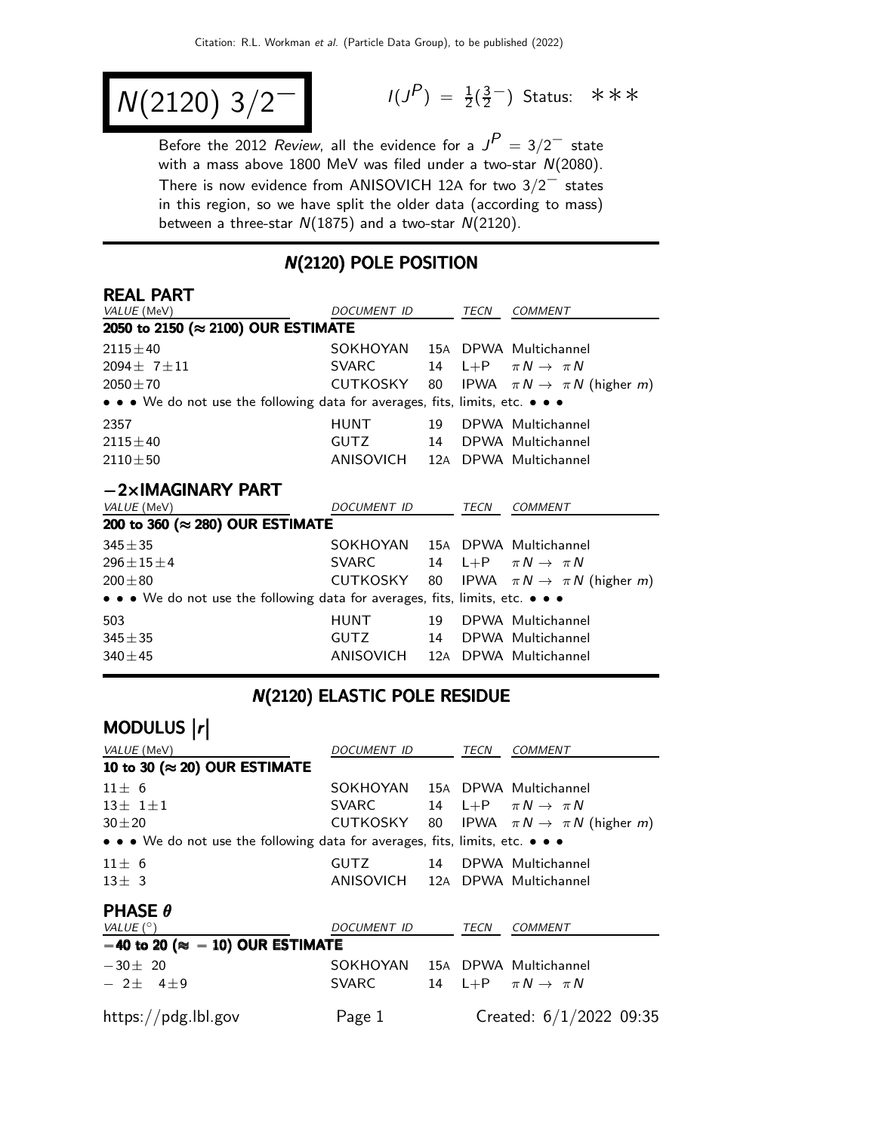$$
N(2120) 3/2^-
$$

 $P$ ) =  $\frac{1}{2}(\frac{3}{2})$  $\frac{3}{2}$  Status: ∗∗∗

Before the 2012 Review, all the evidence for a  $J^P = 3/2^-$  state with a mass above  $1800$  MeV was filed under a two-star  $N(2080)$ . There is now evidence from ANISOVICH 12<sup>A</sup> for two 3/2<sup>−</sup> states in this region, so we have split the older data (according to mass) between a three-star  $N(1875)$  and a two-star  $N(2120)$ .

### N(2120) POLE POSITION

#### REAL PART

| VALUE (MeV)                                                                   | DOCUMENT ID                    |    | TECN | <b>COMMENT</b>                                    |  |  |  |
|-------------------------------------------------------------------------------|--------------------------------|----|------|---------------------------------------------------|--|--|--|
| 2050 to 2150 (≈ 2100) OUR ESTIMATE                                            |                                |    |      |                                                   |  |  |  |
| $2115 \pm 40$                                                                 | SOKHOYAN 15A DPWA Multichannel |    |      |                                                   |  |  |  |
| $2094 \pm 7 \pm 11$                                                           | <b>SVARC</b>                   |    |      | 14 L+P $\pi N \rightarrow \pi N$                  |  |  |  |
| $2050 \pm 70$                                                                 | CUTKOSKY 80                    |    |      | IPWA $\pi N \rightarrow \pi N$ (higher <i>m</i> ) |  |  |  |
| • • • We do not use the following data for averages, fits, limits, etc. • • • |                                |    |      |                                                   |  |  |  |
| 2357                                                                          | <b>HUNT</b>                    | 19 |      | DPWA Multichannel                                 |  |  |  |
| $2115 \pm 40$                                                                 | <b>GUTZ</b>                    | 14 |      | DPWA Multichannel                                 |  |  |  |
| $2110 \pm 50$                                                                 | ANISOVICH                      |    |      | 12A DPWA Multichannel                             |  |  |  |
| $-2\times$ IMAGINARY PART                                                     |                                |    |      |                                                   |  |  |  |
| VALUE (MeV)                                                                   | <i>DOCUMENT ID</i>             |    | TECN | <b>COMMENT</b>                                    |  |  |  |
| 200 to 360 (≈ 280) OUR ESTIMATE                                               |                                |    |      |                                                   |  |  |  |
| $345 + 35$                                                                    | SOKHOYAN                       |    |      | 15A DPWA Multichannel                             |  |  |  |
| $296 \pm 15 \pm 4$                                                            | <b>SVARC</b>                   | 14 |      | L+P $\pi N \rightarrow \pi N$                     |  |  |  |
| $200 + 80$                                                                    | CUTKOSKY 80                    |    |      | IPWA $\pi N \rightarrow \pi N$ (higher <i>m</i> ) |  |  |  |
| • • • We do not use the following data for averages, fits, limits, etc. • • • |                                |    |      |                                                   |  |  |  |
| 503                                                                           | <b>HUNT</b>                    | 19 |      | DPWA Multichannel                                 |  |  |  |
| $345 + 35$                                                                    | GUTZ                           | 14 |      | DPWA Multichannel                                 |  |  |  |
| $340 + 45$                                                                    | ANISOVICH                      |    |      | 12A DPWA Multichannel                             |  |  |  |

# N(2120) ELASTIC POLE RESIDUE

| MODULUS  r                                                                    |                                |  |      |                                                               |
|-------------------------------------------------------------------------------|--------------------------------|--|------|---------------------------------------------------------------|
| VALUE (MeV)                                                                   | <i>DOCUMENT ID</i>             |  | TECN | COMMENT                                                       |
| 10 to 30 ( $\approx$ 20) OUR ESTIMATE                                         |                                |  |      |                                                               |
| $11 \pm 6$                                                                    | SOKHOYAN 15A DPWA Multichannel |  |      |                                                               |
| $13 \pm 1 \pm 1$                                                              | <b>SVARC</b>                   |  |      | 14 L+P $\pi N \rightarrow \pi N$                              |
| $30 + 20$                                                                     |                                |  |      | CUTKOSKY 80 IPWA $\pi N \rightarrow \pi N$ (higher <i>m</i> ) |
| • • • We do not use the following data for averages, fits, limits, etc. • • • |                                |  |      |                                                               |
| $11 \pm 6$                                                                    | GUTZ 14 DPWA Multichannel      |  |      |                                                               |
| $13 \pm 3$                                                                    | ANISOVICH                      |  |      | 12A DPWA Multichannel                                         |
| <b>PHASE <math>\theta</math></b>                                              |                                |  |      |                                                               |
| VALUE $(^\circ)$                                                              | <i>DOCUMENT ID</i>             |  | TECN | <b>COMMENT</b>                                                |
| $-40$ to 20 ( $\approx -10$ ) OUR ESTIMATE                                    |                                |  |      |                                                               |
| $-30\pm 20$                                                                   | SOKHOYAN 15A DPWA Multichannel |  |      |                                                               |
| $-2\pm 4\pm 9$                                                                | <b>SVARC</b>                   |  |      | 14 L+P $\pi N \rightarrow \pi N$                              |
| https://pdg.lbl.gov                                                           | Page 1                         |  |      | Created: 6/1/2022 09:35                                       |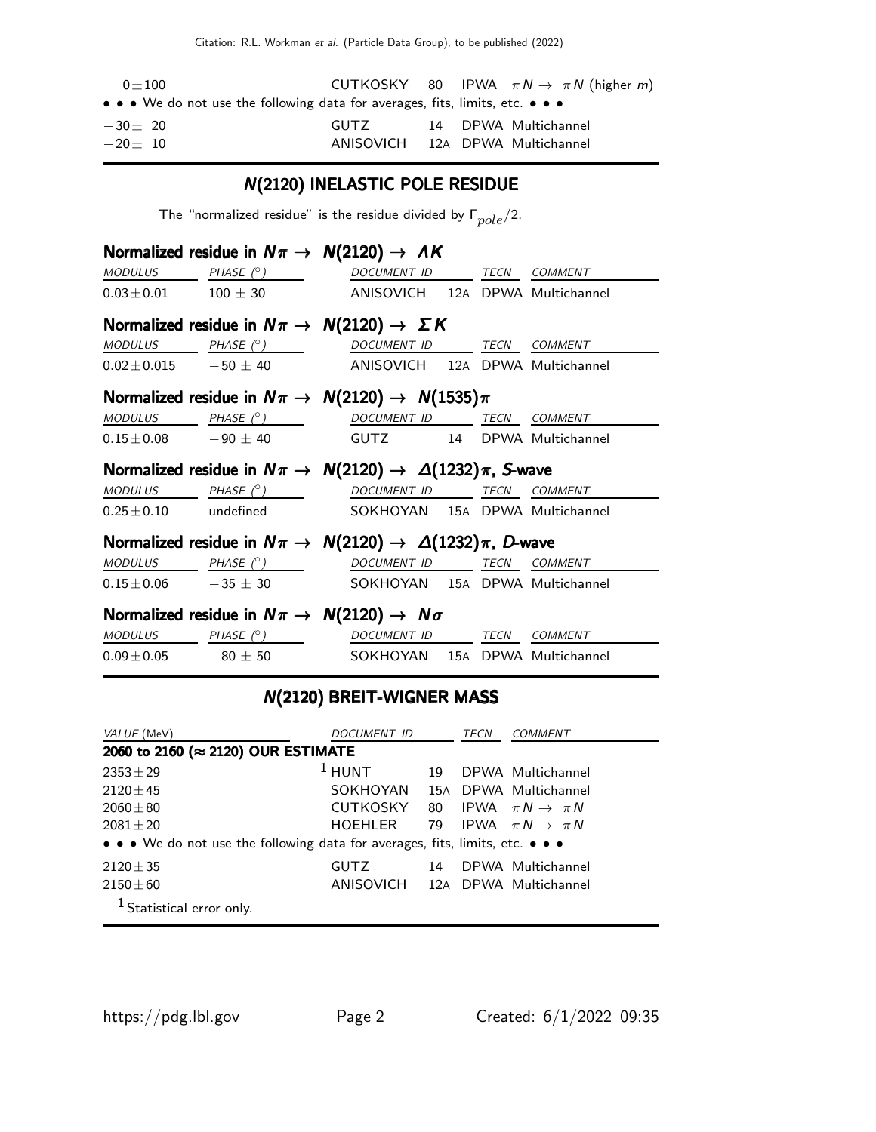| $0 + 100$                                                                                                                     |                                 |  | CUTKOSKY 80 IPWA $\pi N \rightarrow \pi N$ (higher m) |
|-------------------------------------------------------------------------------------------------------------------------------|---------------------------------|--|-------------------------------------------------------|
| $\bullet$ $\bullet$ $\bullet$ We do not use the following data for averages, fits, limits, etc. $\bullet$ $\bullet$ $\bullet$ |                                 |  |                                                       |
| $-30 + 20$                                                                                                                    | GUTZ –                          |  | 14 DPWA Multichannel                                  |
| $-20 + 10$                                                                                                                    | ANISOVICH 12A DPWA Multichannel |  |                                                       |

# N(2120) INELASTIC POLE RESIDUE

The "normalized residue" is the residue divided by  $\Gamma_{pole}/2$ .

|  | Normalized residue in $N\pi \rightarrow N(2120) \rightarrow AK$                                                                                                                                                                      |  |  |
|--|--------------------------------------------------------------------------------------------------------------------------------------------------------------------------------------------------------------------------------------|--|--|
|  | $\underline{\textit{MODULUS}} \qquad \underline{\textit{PHASE (^\circ)}} \qquad \qquad \underline{\textit{DOCUMENT ID}} \qquad \underline{\textit{TECN}} \quad \underline{\textit{COMMENT}}$                                         |  |  |
|  | $0.03 \pm 0.01$ 100 $\pm$ 30 ANISOVICH 12A DPWA Multichannel                                                                                                                                                                         |  |  |
|  | Normalized residue in $N\pi \rightarrow N(2120) \rightarrow \Sigma K$                                                                                                                                                                |  |  |
|  | $\begin{array}{ccccccccc} \textit{MODULUS} & \hspace{1.5cm} & \textit{PHASE}& \textcircled{?} & \hspace{1.5cm} & \textit{DOCUMENT} & \textit{ID} & \hspace{1.5cm} & \textit{TECN} & \hspace{1.5cm} & \textit{COMMENT} & \end{array}$ |  |  |
|  | $0.02 \pm 0.015$ $-50 \pm 40$ ANISOVICH 12A DPWA Multichannel                                                                                                                                                                        |  |  |
|  | Normalized residue in $N\pi \rightarrow N(2120) \rightarrow N(1535)\pi$                                                                                                                                                              |  |  |
|  | $\begin{array}{ccccccccc}\textit{MODULUS} & & & \textit{PHASE}& \textcircled{?} & & & \textit{DOCUMENT} & \textit{ID} & & \textit{TECN} & \textit{COMMENT} \end{array}$                                                              |  |  |
|  | $0.15 \pm 0.08$ $-90 \pm 40$ GUTZ 14 DPWA Multichannel                                                                                                                                                                               |  |  |
|  | Normalized residue in $N\pi \to N(2120) \to \Delta(1232)\pi$ , S-wave                                                                                                                                                                |  |  |
|  | $\textit{MODULUS} \qquad \qquad \textit{PHASE} \; (^\circ) \qquad \qquad \textit{DOCUMENT ID} \qquad \textit{TECN} \quad \textit{COMMENT}$                                                                                           |  |  |
|  | 0.25±0.10 undefined SOKHOYAN 15A DPWA Multichannel                                                                                                                                                                                   |  |  |
|  | Normalized residue in $N\pi \to N(2120) \to \Delta(1232)\pi$ , D-wave                                                                                                                                                                |  |  |
|  | $\underline{\textit{MODULUS}} \qquad \qquad \underline{\textit{PHASE (^{\circ})}} \qquad \qquad \underline{\textit{DOCUMENT ID}} \qquad \qquad \underline{\textit{TECN}} \quad \underline{\textit{COMMENT}}$                         |  |  |
|  | $0.15 \pm 0.06$ -35 $\pm$ 30 SOKHOYAN 15A DPWA Multichannel                                                                                                                                                                          |  |  |
|  | Normalized residue in $N\pi \rightarrow N(2120) \rightarrow N\sigma$                                                                                                                                                                 |  |  |
|  | MODULUS PHASE (°) DOCUMENT ID TECN COMMENT                                                                                                                                                                                           |  |  |
|  | $0.09 \pm 0.05$ - 80 $\pm$ 50 - SOKHOYAN 15A DPWA Multichannel                                                                                                                                                                       |  |  |
|  | N(2120) RREIT_WIGNER MASS                                                                                                                                                                                                            |  |  |

#### N(2120) BREIT-WIGNER MASS

| VALUE (MeV)                                                                   | <i>DOCUMENT ID</i> |    | TECN | COMMENT                        |  |  |
|-------------------------------------------------------------------------------|--------------------|----|------|--------------------------------|--|--|
| 2060 to 2160 (≈ 2120) OUR ESTIMATE                                            |                    |    |      |                                |  |  |
| $2353 \pm 29$                                                                 | $1$ HUNT           | 19 |      | DPWA Multichannel              |  |  |
| $2120 \pm 45$                                                                 | SOKHOYAN           |    |      | 15A DPWA Multichannel          |  |  |
| $2060 + 80$                                                                   | CUTKOSKY           | 80 |      | IPWA $\pi N \rightarrow \pi N$ |  |  |
| $2081 + 20$                                                                   | HOEHLER            | 79 |      | IPWA $\pi N \rightarrow \pi N$ |  |  |
| • • • We do not use the following data for averages, fits, limits, etc. • • • |                    |    |      |                                |  |  |
| $2120 + 35$                                                                   | <b>GUTZ</b>        | 14 |      | DPWA Multichannel              |  |  |
| $2150 \pm 60$                                                                 | ANISOVICH          |    |      | 12A DPWA Multichannel          |  |  |
| <sup>1</sup> Statistical error only.                                          |                    |    |      |                                |  |  |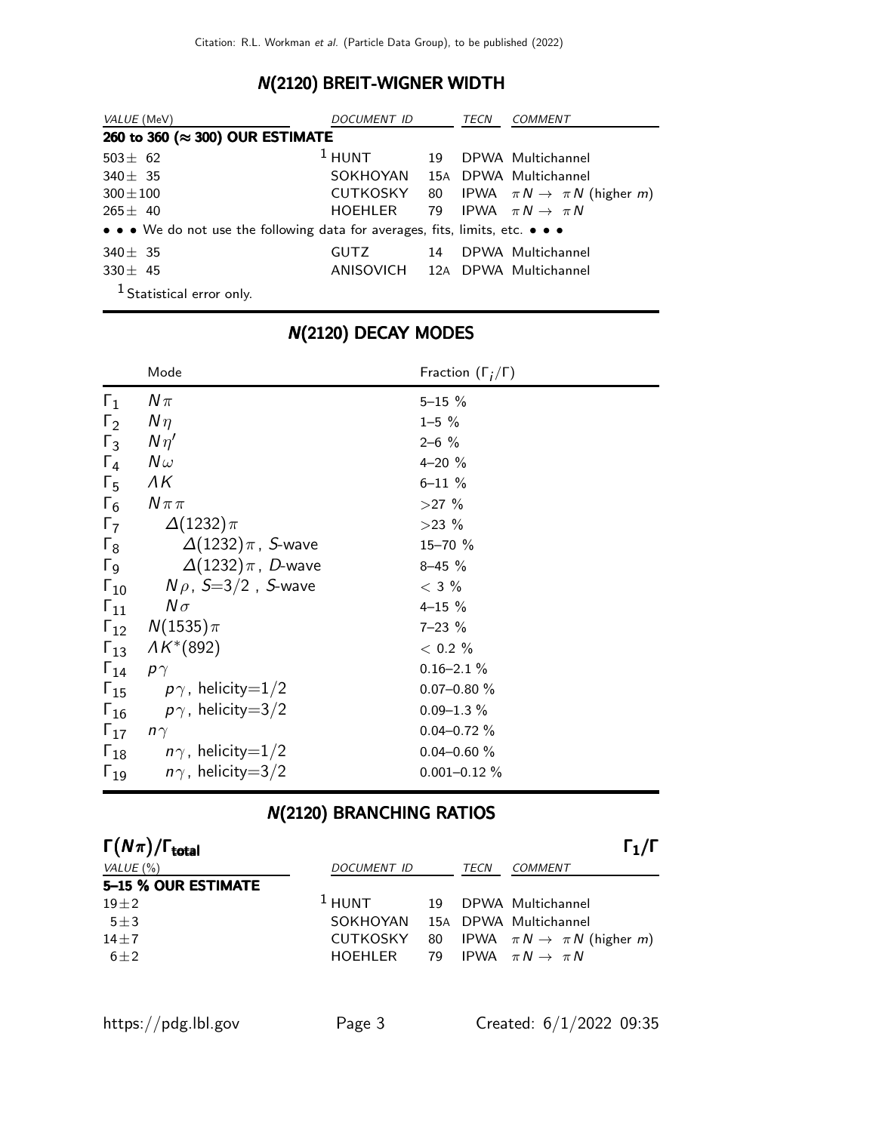### N(2120) BREIT-WIGNER WIDTH

| VALUE (MeV)                                                                   | <i>DOCUMENT ID</i>              |    | <b>TECN</b> | COMMENT                                           |  |
|-------------------------------------------------------------------------------|---------------------------------|----|-------------|---------------------------------------------------|--|
| 260 to 360 (≈ 300) OUR ESTIMATE                                               |                                 |    |             |                                                   |  |
| $503 \pm 62$                                                                  | $1$ HUNT                        | 19 |             | DPWA Multichannel                                 |  |
| $340 \pm 35$                                                                  | SOKHOYAN                        |    |             | 15A DPWA Multichannel                             |  |
| $300 \pm 100$                                                                 | CUTKOSKY 80                     |    |             | IPWA $\pi N \rightarrow \pi N$ (higher <i>m</i> ) |  |
| $265 \pm 40$                                                                  | HOEHLER                         |    |             | 79 IPWA $\pi N \rightarrow \pi N$                 |  |
| • • • We do not use the following data for averages, fits, limits, etc. • • • |                                 |    |             |                                                   |  |
| $340 \pm 35$                                                                  | <b>GUTZ</b>                     | 14 |             | DPWA Multichannel                                 |  |
| $330 \pm 45$                                                                  | ANISOVICH 12A DPWA Multichannel |    |             |                                                   |  |
| $1$ Contracted contracted $\sim$                                              |                                 |    |             |                                                   |  |

Statistical error only.

|                       | Mode                                   | Fraction $(\Gamma_i/\Gamma)$ |  |
|-----------------------|----------------------------------------|------------------------------|--|
| $\Gamma_1$            | $N\pi$                                 | $5 - 15 \%$                  |  |
| $\Gamma_2$            | $N\eta$                                | $1 - 5 \%$                   |  |
| $\Gamma_3$            | $N\eta'$                               | $2 - 6$ %                    |  |
| $\Gamma_4$            | $N\,\omega$                            | $4 - 20%$                    |  |
| $\Gamma_{5}$          | $\Lambda K$                            | $6 - 11 \%$                  |  |
| $\Gamma_6$            | $N\pi\pi$                              | $>27\%$                      |  |
| $\Gamma_7$            | $\Delta(1232)\pi$                      | $>23\%$                      |  |
| $\Gamma_8$            | $\Delta(1232)\pi$ , S-wave             | 15-70 %                      |  |
| $\Gamma$ <sub>9</sub> | $\Delta(1232)\pi$ , D-wave             | $8 - 45 \%$                  |  |
| $\Gamma_{10}$         | $N \rho$ , S $=$ 3/2 , S-wave          | $<$ 3 $\%$                   |  |
|                       | $\Gamma_{11}$ $N\sigma$                | $4 - 15 \%$                  |  |
|                       | $\Gamma_{12}$ $N(1535)\pi$             | $7 - 23 \%$                  |  |
|                       | $\Gamma_{13}$ $\Lambda K^{*}(892)$     | $< 0.2 \%$                   |  |
| $\Gamma_{14}$         | $p\gamma$                              | $0.16 - 2.1 \%$              |  |
|                       | $\Gamma_{15}$ $p\gamma$ , helicity=1/2 | $0.07 - 0.80 \%$             |  |
|                       | $\Gamma_{16}$ $p\gamma$ , helicity=3/2 | $0.09 - 1.3 \%$              |  |
| $\Gamma_{17}$         | $n\gamma$                              | $0.04 - 0.72 \%$             |  |
|                       | $\Gamma_{18}$ $n\gamma$ , helicity=1/2 | $0.04 - 0.60 \%$             |  |
| $\Gamma_{19}$         | $n\gamma$ , helicity $=3/2$            | $0.001 - 0.12 \%$            |  |

### N(2120) DECAY MODES

### N(2120) BRANCHING RATIOS

| $\Gamma(N\pi)/\Gamma_{\rm total}$ |                    |      |      | $\Gamma_1/\Gamma$                                 |
|-----------------------------------|--------------------|------|------|---------------------------------------------------|
| VALUE $(\% )$                     | <b>DOCUMENT ID</b> |      | TECN | COMMENT                                           |
| 5-15 % OUR ESTIMATE               |                    |      |      |                                                   |
| $19 + 2$                          | $1$ HUNT           |      |      | 19 DPWA Multichannel                              |
| $5 + 3$                           | SOKHOYAN           |      |      | 15A DPWA Multichannel                             |
| $14 \pm 7$                        | <b>CUTKOSKY</b>    | - 80 |      | IPWA $\pi N \rightarrow \pi N$ (higher <i>m</i> ) |
| $6 \pm 2$                         | HOFHI FR           | 79   |      | IPWA $\pi N \rightarrow \pi N$                    |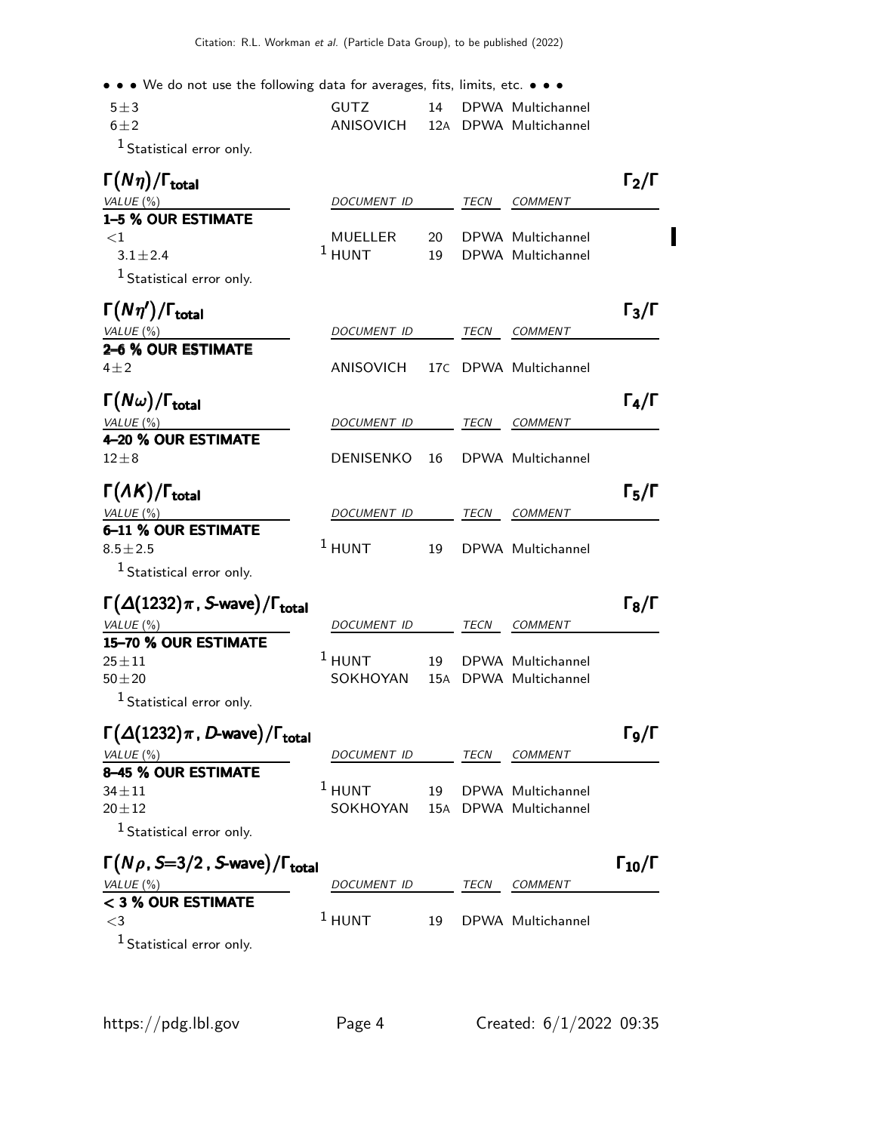• • • We do not use the following data for averages, fits, limits, etc. • • •

| $5 + 3$ | GUTZ.                           |  | 14 DPWA Multichannel |
|---------|---------------------------------|--|----------------------|
| $6 + 2$ | ANISOVICH 12A DPWA Multichannel |  |                      |
|         |                                 |  |                      |

1 Statistical error only.

| $\Gamma(N\eta)/\Gamma_{\rm total}$                          |                     |          |      |                                        | $\Gamma_2/\Gamma$    |
|-------------------------------------------------------------|---------------------|----------|------|----------------------------------------|----------------------|
| VALUE (%)                                                   | DOCUMENT ID         |          | TECN | COMMENT                                |                      |
| 1-5 % OUR ESTIMATE                                          |                     |          |      |                                        |                      |
| ${<}1$<br>$3.1 \pm 2.4$                                     | MUELLER<br>$1$ HUNT | 20<br>19 |      | DPWA Multichannel<br>DPWA Multichannel |                      |
|                                                             |                     |          |      |                                        |                      |
| $1$ Statistical error only.                                 |                     |          |      |                                        |                      |
| $\Gamma(N\eta')/\Gamma_{\rm total}$                         |                     |          |      |                                        | $\Gamma_3/\Gamma$    |
| VALUE (%)                                                   | <b>DOCUMENT ID</b>  |          | TECN | <b>COMMENT</b>                         |                      |
| 2-6 % OUR ESTIMATE                                          |                     |          |      |                                        |                      |
| $4\pm 2$                                                    | ANISOVICH           | 17C      |      | DPWA Multichannel                      |                      |
| $\Gamma(N\omega)/\Gamma_{\rm total}$                        |                     |          |      |                                        | $\Gamma_4/\Gamma$    |
|                                                             |                     |          |      |                                        |                      |
| <u>VALUE (%)</u><br>4-20 % OUR ESTIMATE                     | DOCUMENT ID         |          | TECN | <b>COMMENT</b>                         |                      |
| $12\pm8$                                                    | DENISENKO           | 16       |      | DPWA Multichannel                      |                      |
| $\Gamma(\Lambda K)/\Gamma_{\rm total}$                      |                     |          |      |                                        | $\Gamma_5/\Gamma$    |
| VALUE $(\%)$                                                | <i>DOCUMENT ID</i>  |          | TECN | COMMENT                                |                      |
| 6-11 % OUR ESTIMATE                                         |                     |          |      |                                        |                      |
| $8.5 \pm 2.5$                                               | $1$ HUNT            | 19       |      | DPWA Multichannel                      |                      |
| $1$ Statistical error only.                                 |                     |          |      |                                        |                      |
| $\Gamma(\Delta(1232)\pi$ , S-wave)/ $\Gamma_{\text{total}}$ |                     |          |      |                                        | $\Gamma_8/\Gamma$    |
| VALUE (%)                                                   | DOCUMENT ID         |          | TECN | COMMENT                                |                      |
| 15-70 % OUR ESTIMATE                                        |                     |          |      |                                        |                      |
| $25 + 11$                                                   | $1$ HUNT            | 19       |      | DPWA Multichannel                      |                      |
| $50 + 20$                                                   | SOKHOYAN            | 15A      |      | DPWA Multichannel                      |                      |
| <sup>1</sup> Statistical error only.                        |                     |          |      |                                        |                      |
| $\Gamma(\Delta(1232)\pi$ , D-wave)/ $\Gamma_{\rm total}$    |                     |          |      |                                        | Г9/Г                 |
| VALUE $(\%)$                                                | DOCUMENT ID         |          | TECN | <b>COMMENT</b>                         |                      |
| 8-45 % OUR ESTIMATE                                         |                     |          |      |                                        |                      |
| $34 \pm 11$                                                 | $^1$ HUNT           | 19       |      | DPWA Multichannel                      |                      |
| $20 + 12$                                                   | SOKHOYAN            |          |      | 15A DPWA Multichannel                  |                      |
| $1$ Statistical error only.                                 |                     |          |      |                                        |                      |
| $\Gamma(N\rho, S=3/2$ , S-wave)/ $\Gamma_{\rm total}$       |                     |          |      |                                        | $\Gamma_{10}/\Gamma$ |
| VALUE (%)                                                   | DOCUMENT ID         |          | TECN | COMMENT                                |                      |
| < 3 % OUR ESTIMATE<br>$\leq$ 3                              | $1$ HUNT            | 19       |      | DPWA Multichannel                      |                      |
|                                                             |                     |          |      |                                        |                      |
| $1$ Statistical error only.                                 |                     |          |      |                                        |                      |
|                                                             |                     |          |      |                                        |                      |

Π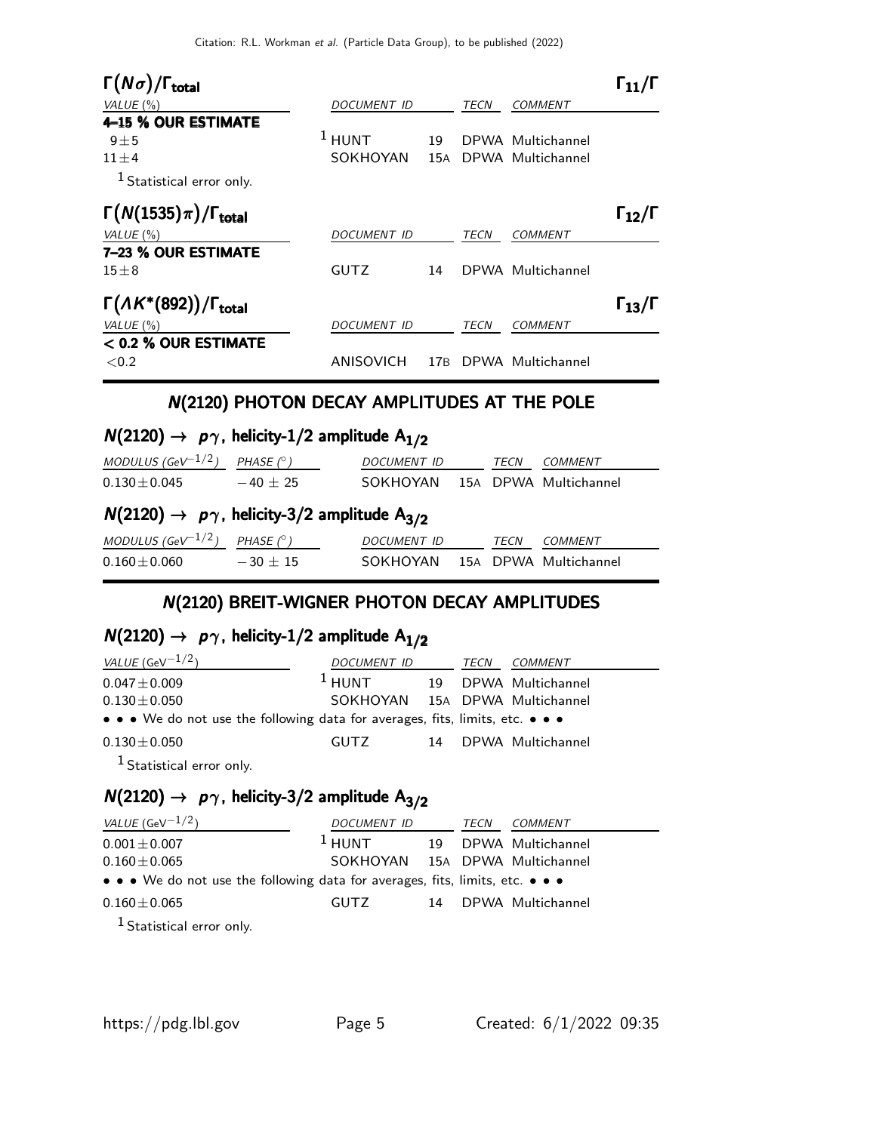| $\Gamma(N\sigma)/\Gamma_{\rm total}$       |                    |     |      |                   | $\mathsf{I}_{11}/\mathsf{I}$ |
|--------------------------------------------|--------------------|-----|------|-------------------|------------------------------|
| VALUE $(\% )$                              | <b>DOCUMENT ID</b> |     | TECN | COMMENT           |                              |
| 4-15 % OUR ESTIMATE                        |                    |     |      |                   |                              |
| $9 + 5$                                    | $1$ HUNT           | 19  |      | DPWA Multichannel |                              |
| $11\pm4$                                   | SOKHOYAN           | 15A |      | DPWA Multichannel |                              |
| <sup>1</sup> Statistical error only.       |                    |     |      |                   |                              |
| $\Gamma(N(1535)\pi)/\Gamma_{\rm total}$    |                    |     |      |                   | $\Gamma_{12}/\Gamma$         |
| VALUE $(\%)$                               | <i>DOCUMENT ID</i> |     | TECN | <b>COMMENT</b>    |                              |
| 7-23 % OUR ESTIMATE                        |                    |     |      |                   |                              |
| $15\pm8$                                   | <b>GUTZ</b>        | 14  |      | DPWA Multichannel |                              |
| $\Gamma(A K^*(892))/\Gamma_{\text{total}}$ |                    |     |      |                   | $\Gamma_{13}/\Gamma$         |
| VALUE $(\%)$                               | <b>DOCUMENT ID</b> |     | TECN | <b>COMMENT</b>    |                              |
| $<$ 0.2 % OUR ESTIMATE                     |                    |     |      |                   |                              |
| ${<}0.2$                                   | <b>ANISOVICH</b>   | 17B |      | DPWA Multichannel |                              |

### N(2120) PHOTON DECAY AMPLITUDES AT THE POLE

## $N(2120) \rightarrow p\gamma$ , helicity-1/2 amplitude A<sub>1/2</sub>

| MODULUS (GeV $^{-1/2}$ )                                                | PHASE $(^\circ)$ | DOCUMENT ID        |  | TECN        | COMMENT               |  |
|-------------------------------------------------------------------------|------------------|--------------------|--|-------------|-----------------------|--|
| $0.130 \pm 0.045$                                                       | $-40 + 25$       | SOKHOYAN           |  |             | 15A DPWA Multichannel |  |
| $N(2120) \rightarrow p\gamma$ , helicity-3/2 amplitude A <sub>3/2</sub> |                  |                    |  |             |                       |  |
| MODULUS (GeV $^{-1/2}$ )                                                | PHASE $(^\circ)$ | <b>DOCUMENT ID</b> |  | <i>TECN</i> | COMMENT               |  |
| $0.160 \pm 0.060$                                                       | $-30 + 15$       | SOKHOYAN           |  |             | 15A DPWA Multichannel |  |

### N(2120) BREIT-WIGNER PHOTON DECAY AMPLITUDES

## $N(2120) \rightarrow p\gamma$ , helicity-1/2 amplitude A<sub>1/2</sub>

| <i>VALUE</i> (GeV $^{-1/2}$ )                                                                                         | DOCUMENT ID                    |  | TECN | COMMENT              |  |
|-----------------------------------------------------------------------------------------------------------------------|--------------------------------|--|------|----------------------|--|
| $0.047 \pm 0.009$                                                                                                     | $1$ HUNT                       |  |      | 19 DPWA Multichannel |  |
| $0.130\pm0.050$                                                                                                       | SOKHOYAN 15A DPWA Multichannel |  |      |                      |  |
| $\bullet \bullet \bullet$ We do not use the following data for averages, fits, limits, etc. $\bullet \bullet \bullet$ |                                |  |      |                      |  |
| $0.130\pm0.050$                                                                                                       | GUTZ                           |  |      | 14 DPWA Multichannel |  |

1 Statistical error only.

# $N(2120) \rightarrow p\gamma$ , helicity-3/2 amplitude A<sub>3/2</sub>

| <i>VALUE</i> (GeV $^{-1/2}$ )                                                 | DOCUMENT ID<br>TECN            |  |  | COMMENT              |  |
|-------------------------------------------------------------------------------|--------------------------------|--|--|----------------------|--|
| $0.001 \pm 0.007$                                                             | $1$ HUNT                       |  |  | 19 DPWA Multichannel |  |
| $0.160\pm0.065$                                                               | SOKHOYAN 15A DPWA Multichannel |  |  |                      |  |
| • • • We do not use the following data for averages, fits, limits, etc. • • • |                                |  |  |                      |  |
| $0.160 \pm 0.065$                                                             | <b>GUTZ</b>                    |  |  | 14 DPWA Multichannel |  |
| $1$ Constantino I compared to $\sim$                                          |                                |  |  |                      |  |

Statistical error only.